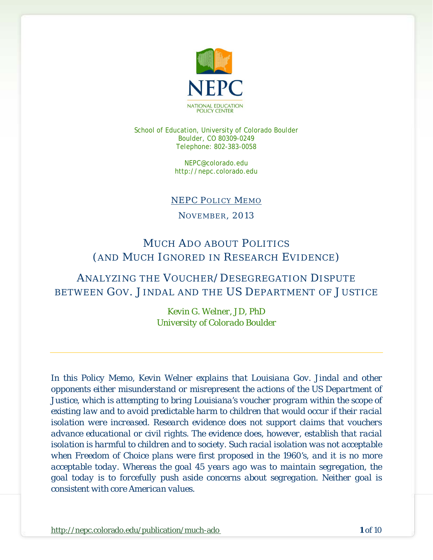

School of Education, University of Colorado Boulder Boulder, CO 80309-0249 Telephone: 802-383-0058

> NEPC@colorado.edu http://nepc.colorado.edu

#### NEPC POLICY MEMO

NOVEMBER, 2013

# MUCH ADO ABOUT POLITICS (AND MUCH IGNORED IN RESEARCH EVIDENCE)

## ANALYZING THE VOUCHER/DESEGREGATION DISPUTE BETWEEN GOV. JINDAL AND THE US DEPARTMENT OF JUSTICE

*Kevin G. Welner, JD, PhD University of Colorado Boulder*

*In this Policy Memo, Kevin Welner explains that Louisiana Gov. Jindal and other opponents either misunderstand or misrepresent the actions of the US Department of Justice, which is attempting to bring Louisiana's voucher program within the scope of existing law and to avoid predictable harm to children that would occur if their racial isolation were increased. Research evidence does not support claims that vouchers advance educational or civil rights. The evidence does, however, establish that racial isolation is harmful to children and to society. Such racial isolation was not acceptable when Freedom of Choice plans were first proposed in the 1960's, and it is no more acceptable today. Whereas the goal 45 years ago was to maintain segregation, the goal today is to forcefully push aside concerns about segregation. Neither goal is consistent with core American values.*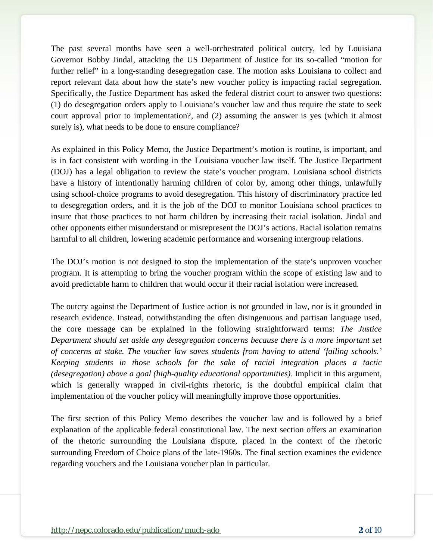The past several months have seen a well-orchestrated political outcry, led by Louisiana Governor Bobby Jindal, attacking the US Department of Justice for its so-called "motion for further relief" in a long-standing desegregation case. The motion asks Louisiana to collect and report relevant data about how the state's new voucher policy is impacting racial segregation. Specifically, the Justice Department has asked the federal district court to answer two questions: (1) do desegregation orders apply to Louisiana's voucher law and thus require the state to seek court approval prior to implementation?, and (2) assuming the answer is yes (which it almost surely is), what needs to be done to ensure compliance?

As explained in this Policy Memo, the Justice Department's motion is routine, is important, and is in fact consistent with wording in the Louisiana voucher law itself. The Justice Department (DOJ) has a legal obligation to review the state's voucher program. Louisiana school districts have a history of intentionally harming children of color by, among other things, unlawfully using school-choice programs to avoid desegregation. This history of discriminatory practice led to desegregation orders, and it is the job of the DOJ to monitor Louisiana school practices to insure that those practices to not harm children by increasing their racial isolation. Jindal and other opponents either misunderstand or misrepresent the DOJ's actions. Racial isolation remains harmful to all children, lowering academic performance and worsening intergroup relations.

The DOJ's motion is not designed to stop the implementation of the state's unproven voucher program. It is attempting to bring the voucher program within the scope of existing law and to avoid predictable harm to children that would occur if their racial isolation were increased.

The outcry against the Department of Justice action is not grounded in law, nor is it grounded in research evidence. Instead, notwithstanding the often disingenuous and partisan language used, the core message can be explained in the following straightforward terms: *The Justice Department should set aside any desegregation concerns because there is a more important set of concerns at stake. The voucher law saves students from having to attend 'failing schools.' Keeping students in those schools for the sake of racial integration places a tactic (desegregation) above a goal (high-quality educational opportunities).* Implicit in this argument, which is generally wrapped in civil-rights rhetoric, is the doubtful empirical claim that implementation of the voucher policy will meaningfully improve those opportunities.

The first section of this Policy Memo describes the voucher law and is followed by a brief explanation of the applicable federal constitutional law. The next section offers an examination of the rhetoric surrounding the Louisiana dispute, placed in the context of the rhetoric surrounding Freedom of Choice plans of the late-1960s. The final section examines the evidence regarding vouchers and the Louisiana voucher plan in particular.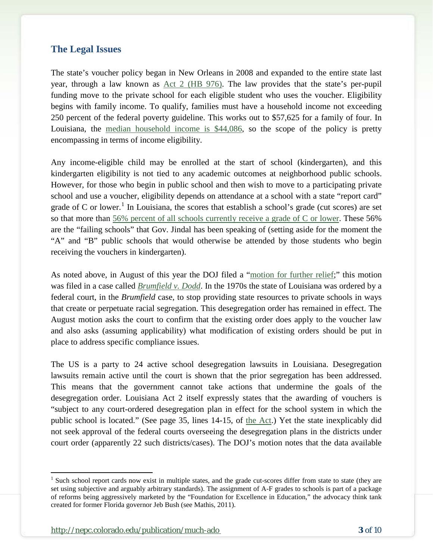### **The Legal Issues**

The state's voucher policy began in New Orleans in 2008 and expanded to the entire state last year, through a law known as [Act 2 \(HB 976\).](http://www.legis.la.gov/legis/ViewDocument.aspx?d=793655&n=HB976%20Act%202) The law provides that the state's per-pupil funding move to the private school for each eligible student who uses the voucher. Eligibility begins with family income. To qualify, families must have a household income not exceeding 250 percent of the federal poverty guideline. This works out to \$57,625 for a family of four. In Louisiana, the [median household income is \\$44,086,](http://factfinder2.census.gov/faces/tableservices/jsf/pages/productview.xhtml?pid=ACS_11_5YR_DP03) so the scope of the policy is pretty encompassing in terms of income eligibility.

Any income-eligible child may be enrolled at the start of school (kindergarten), and this kindergarten eligibility is not tied to any academic outcomes at neighborhood public schools. However, for those who begin in public school and then wish to move to a participating private school and use a voucher, eligibility depends on attendance at a school with a state "report card" grade of C or lower.<sup>[1](#page-2-0)</sup> In Louisiana, the scores that establish a school's grade (cut scores) are set so that more than [56% percent of all schools currently receive a grade of C or lower.](http://www.louisianabelieves.com/accountability/school-letter-grades) These 56% are the "failing schools" that Gov. Jindal has been speaking of (setting aside for the moment the "A" and "B" public schools that would otherwise be attended by those students who begin receiving the vouchers in kindergarten).

As noted above, in August of this year the DOJ filed a ["motion for further relief;](http://media.nola.com/education_impact/other/US%20DOJ%20petition%20vouchers%20deseg.pdf)" this motion was filed in a case called *[Brumfield v. Dodd](http://www.leagle.com/decision/1975743405FSupp338_1691.xml/BRUMFIELD%20v.%20DODD)*. In the 1970s the state of Louisiana was ordered by a federal court, in the *Brumfield* case, to stop providing state resources to private schools in ways that create or perpetuate racial segregation. This desegregation order has remained in effect. The August motion asks the court to confirm that the existing order does apply to the voucher law and also asks (assuming applicability) what modification of existing orders should be put in place to address specific compliance issues.

The US is a party to 24 active school desegregation lawsuits in Louisiana. Desegregation lawsuits remain active until the court is shown that the prior segregation has been addressed. This means that the government cannot take actions that undermine the goals of the desegregation order. Louisiana Act 2 itself expressly states that the awarding of vouchers is "subject to any court-ordered desegregation plan in effect for the school system in which the public school is located." (See page 35, lines 14-15, of [the Act.](http://www.legis.la.gov/legis/ViewDocument.aspx?d=793655&n=HB976%20Act%202)) Yet the state inexplicably did not seek approval of the federal courts overseeing the desegregation plans in the districts under court order (apparently 22 such districts/cases). The DOJ's motion notes that the data available

<span id="page-2-0"></span><sup>&</sup>lt;sup>1</sup> Such school report cards now exist in multiple states, and the grade cut-scores differ from state to state (they are set using subjective and arguably arbitrary standards). The assignment of A-F grades to schools is part of a package of reforms being aggressively marketed by the "Foundation for Excellence in Education," the advocacy think tank created for former Florida governor Jeb Bush (see Mathis, 2011).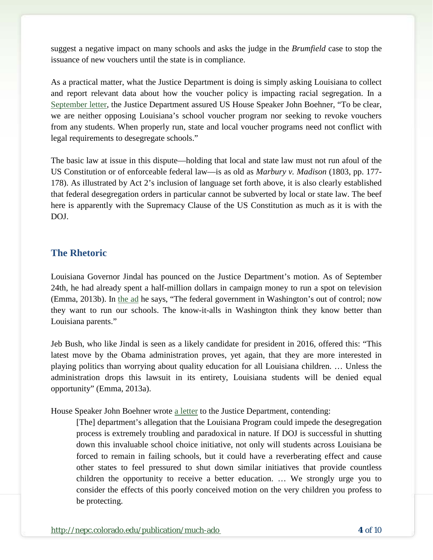suggest a negative impact on many schools and asks the judge in the *Brumfield* case to stop the issuance of new vouchers until the state is in compliance.

As a practical matter, what the Justice Department is doing is simply asking Louisiana to collect and report relevant data about how the voucher policy is impacting racial segregation. In a [September letter,](http://images.politico.com/global/2013/09/24/boehner_9-24-13.html) the Justice Department assured US House Speaker John Boehner, "To be clear, we are neither opposing Louisiana's school voucher program nor seeking to revoke vouchers from any students. When properly run, state and local voucher programs need not conflict with legal requirements to desegregate schools."

The basic law at issue in this dispute—holding that local and state law must not run afoul of the US Constitution or of enforceable federal law—is as old as *Marbury v. Madison* (1803, pp. 177- 178). As illustrated by Act 2's inclusion of language set forth above, it is also clearly established that federal desegregation orders in particular cannot be subverted by local or state law. The beef here is apparently with the Supremacy Clause of the US Constitution as much as it is with the DOJ.

### **The Rhetoric**

Louisiana Governor Jindal has pounced on the Justice Department's motion. As of September 24th, he had already spent a half-million dollars in campaign money to run a spot on television (Emma, 2013b). In [the ad](http://www.youtube.com/watch?feature=player_embedded&v=PbddB9SR90A) he says, "The federal government in Washington's out of control; now they want to run our schools. The know-it-alls in Washington think they know better than Louisiana parents."

Jeb Bush, who like Jindal is seen as a likely candidate for president in 2016, offered this: "This latest move by the Obama administration proves, yet again, that they are more interested in playing politics than worrying about quality education for all Louisiana children. … Unless the administration drops this lawsuit in its entirety, Louisiana students will be denied equal opportunity" (Emma, 2013a).

House Speaker John Boehner wrote [a letter](http://edworkforce.house.gov/uploadedfiles/09-17-2013_letter_to_eric_holder_on_louisana_school_choice.pdf) to the Justice Department, contending:

[The] department's allegation that the Louisiana Program could impede the desegregation process is extremely troubling and paradoxical in nature. If DOJ is successful in shutting down this invaluable school choice initiative, not only will students across Louisiana be forced to remain in failing schools, but it could have a reverberating effect and cause other states to feel pressured to shut down similar initiatives that provide countless children the opportunity to receive a better education. … We strongly urge you to consider the effects of this poorly conceived motion on the very children you profess to be protecting.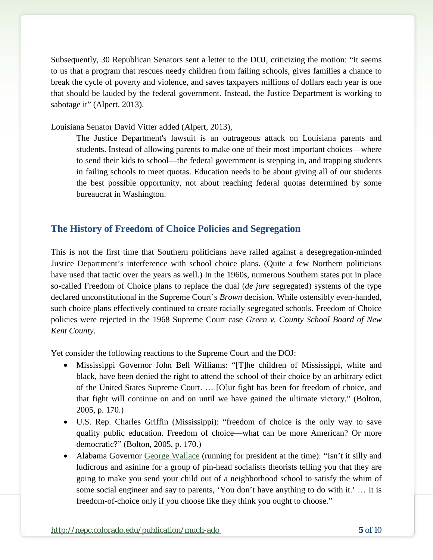Subsequently, 30 Republican Senators sent a letter to the DOJ, criticizing the motion: "It seems to us that a program that rescues needy children from failing schools, gives families a chance to break the cycle of poverty and violence, and saves taxpayers millions of dollars each year is one that should be lauded by the federal government. Instead, the Justice Department is working to sabotage it" (Alpert, 2013).

Louisiana Senator David Vitter added (Alpert, 2013),

The Justice Department's lawsuit is an outrageous attack on Louisiana parents and students. Instead of allowing parents to make one of their most important choices—where to send their kids to school—the federal government is stepping in, and trapping students in failing schools to meet quotas. Education needs to be about giving all of our students the best possible opportunity, not about reaching federal quotas determined by some bureaucrat in Washington.

### **The History of Freedom of Choice Policies and Segregation**

This is not the first time that Southern politicians have railed against a desegregation-minded Justice Department's interference with school choice plans. (Quite a few Northern politicians have used that tactic over the years as well.) In the 1960s, numerous Southern states put in place so-called Freedom of Choice plans to replace the dual (*de jure* segregated) systems of the type declared unconstitutional in the Supreme Court's *Brown* decision. While ostensibly even-handed, such choice plans effectively continued to create racially segregated schools. Freedom of Choice policies were rejected in the 1968 Supreme Court case *Green v. County School Board of New Kent County*.

Yet consider the following reactions to the Supreme Court and the DOJ:

- Mississippi Governor John Bell Williams: "[T]he children of Mississippi, white and black, have been denied the right to attend the school of their choice by an arbitrary edict of the United States Supreme Court. … [O]ur fight has been for freedom of choice, and that fight will continue on and on until we have gained the ultimate victory." (Bolton, 2005, p. 170.)
- U.S. Rep. Charles Griffin (Mississippi): "freedom of choice is the only way to save quality public education. Freedom of choice—what can be more American? Or more democratic?" (Bolton, 2005, p. 170.)
- Alabama Governor [George Wallace](http://www.ucumberlands.edu/academics/history/files/vol4/MarianneWorthington92.html) (running for president at the time): "Isn't it silly and ludicrous and asinine for a group of pin-head socialists theorists telling you that they are going to make you send your child out of a neighborhood school to satisfy the whim of some social engineer and say to parents, 'You don't have anything to do with it.' … It is freedom-of-choice only if you choose like they think you ought to choose."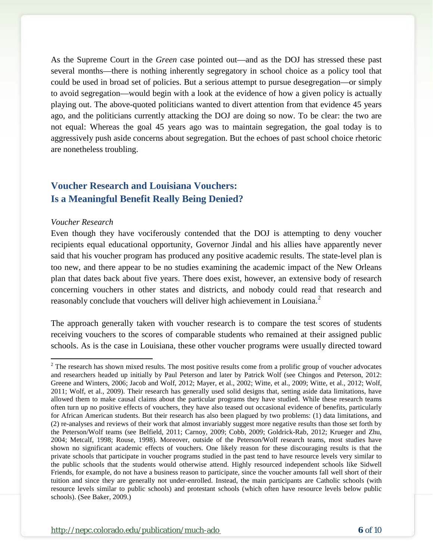As the Supreme Court in the *Green* case pointed out—and as the DOJ has stressed these past several months—there is nothing inherently segregatory in school choice as a policy tool that could be used in broad set of policies. But a serious attempt to pursue desegregation—or simply to avoid segregation—would begin with a look at the evidence of how a given policy is actually playing out. The above-quoted politicians wanted to divert attention from that evidence 45 years ago, and the politicians currently attacking the DOJ are doing so now. To be clear: the two are not equal: Whereas the goal 45 years ago was to maintain segregation, the goal today is to aggressively push aside concerns about segregation. But the echoes of past school choice rhetoric are nonetheless troubling.

## **Voucher Research and Louisiana Vouchers: Is a Meaningful Benefit Really Being Denied?**

#### *Voucher Research*

Even though they have vociferously contended that the DOJ is attempting to deny voucher recipients equal educational opportunity, Governor Jindal and his allies have apparently never said that his voucher program has produced any positive academic results. The state-level plan is too new, and there appear to be no studies examining the academic impact of the New Orleans plan that dates back about five years. There does exist, however, an extensive body of research concerning vouchers in other states and districts, and nobody could read that research and reasonably conclude that vouchers will deliver high achievement in Louisiana.<sup>[2](#page-5-0)</sup>

The approach generally taken with voucher research is to compare the test scores of students receiving vouchers to the scores of comparable students who remained at their assigned public schools. As is the case in Louisiana, these other voucher programs were usually directed toward

<span id="page-5-0"></span> $2$  The research has shown mixed results. The most positive results come from a prolific group of voucher advocates and researchers headed up initially by Paul Peterson and later by Patrick Wolf (see Chingos and Peterson, 2012: Greene and Winters, 2006; Jacob and Wolf, 2012; Mayer, et al., 2002; Witte, et al., 2009; Witte, et al., 2012; Wolf, 2011; Wolf, et al., 2009). Their research has generally used solid designs that, setting aside data limitations, have allowed them to make causal claims about the particular programs they have studied. While these research teams often turn up no positive effects of vouchers, they have also teased out occasional evidence of benefits, particularly for African American students. But their research has also been plagued by two problems: (1) data limitations, and (2) re-analyses and reviews of their work that almost invariably suggest more negative results than those set forth by the Peterson/Wolf teams (see Belfield, 2011; Carnoy, 2009; Cobb, 2009; Goldrick-Rab, 2012; Krueger and Zhu, 2004; Metcalf, 1998; Rouse, 1998). Moreover, outside of the Peterson/Wolf research teams, most studies have shown no significant academic effects of vouchers. One likely reason for these discouraging results is that the private schools that participate in voucher programs studied in the past tend to have resource levels very similar to the public schools that the students would otherwise attend. Highly resourced independent schools like Sidwell Friends, for example, do not have a business reason to participate, since the voucher amounts fall well short of their tuition and since they are generally not under-enrolled. Instead, the main participants are Catholic schools (with resource levels similar to public schools) and protestant schools (which often have resource levels below public schools). (See Baker, 2009.)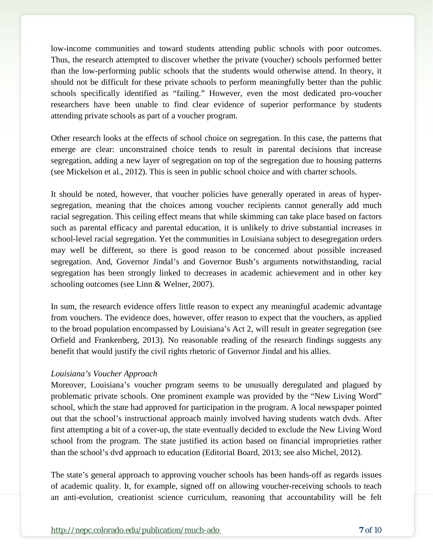low-income communities and toward students attending public schools with poor outcomes. Thus, the research attempted to discover whether the private (voucher) schools performed better than the low-performing public schools that the students would otherwise attend. In theory, it should not be difficult for these private schools to perform meaningfully better than the public schools specifically identified as "failing." However, even the most dedicated pro-voucher researchers have been unable to find clear evidence of superior performance by students attending private schools as part of a voucher program.

Other research looks at the effects of school choice on segregation. In this case, the patterns that emerge are clear: unconstrained choice tends to result in parental decisions that increase segregation, adding a new layer of segregation on top of the segregation due to housing patterns (see Mickelson et al., 2012). This is seen in public school choice and with charter schools.

It should be noted, however, that voucher policies have generally operated in areas of hypersegregation, meaning that the choices among voucher recipients cannot generally add much racial segregation. This ceiling effect means that while skimming can take place based on factors such as parental efficacy and parental education, it is unlikely to drive substantial increases in school-level racial segregation. Yet the communities in Louisiana subject to desegregation orders may well be different, so there is good reason to be concerned about possible increased segregation. And, Governor Jindal's and Governor Bush's arguments notwithstanding, racial segregation has been strongly linked to decreases in academic achievement and in other key schooling outcomes (see Linn & Welner, 2007).

In sum, the research evidence offers little reason to expect any meaningful academic advantage from vouchers. The evidence does, however, offer reason to expect that the vouchers, as applied to the broad population encompassed by Louisiana's Act 2, will result in greater segregation (see Orfield and Frankenberg, 2013). No reasonable reading of the research findings suggests any benefit that would justify the civil rights rhetoric of Governor Jindal and his allies.

#### *Louisiana's Voucher Approach*

Moreover, Louisiana's voucher program seems to be unusually deregulated and plagued by problematic private schools. One prominent example was provided by the "New Living Word" school, which the state had approved for participation in the program. A local newspaper pointed out that the school's instructional approach mainly involved having students watch dvds. After first attempting a bit of a cover-up, the state eventually decided to exclude the New Living Word school from the program. The state justified its action based on financial improprieties rather than the school's dvd approach to education (Editorial Board, 2013; see also Michel, 2012).

The state's general approach to approving voucher schools has been hands-off as regards issues of academic quality. It, for example, signed off on allowing voucher-receiving schools to teach an anti-evolution, creationist science curriculum, reasoning that accountability will be felt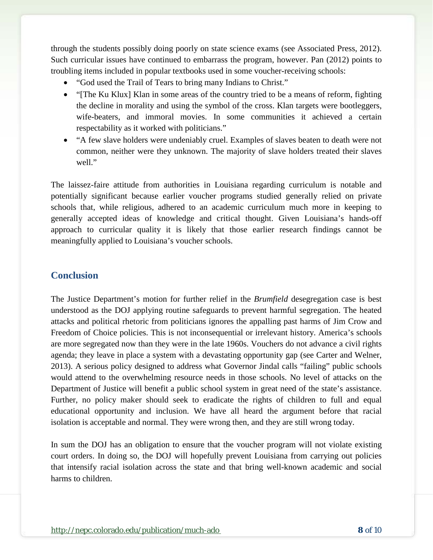through the students possibly doing poorly on state science exams (see Associated Press, 2012). Such curricular issues have continued to embarrass the program, however. Pan (2012) points to troubling items included in popular textbooks used in some voucher-receiving schools:

- "God used the Trail of Tears to bring many Indians to Christ."
- "[The Ku Klux] Klan in some areas of the country tried to be a means of reform, fighting the decline in morality and using the symbol of the cross. Klan targets were bootleggers, wife-beaters, and immoral movies. In some communities it achieved a certain respectability as it worked with politicians."
- "A few slave holders were undeniably cruel. Examples of slaves beaten to death were not common, neither were they unknown. The majority of slave holders treated their slaves well."

The laissez-faire attitude from authorities in Louisiana regarding curriculum is notable and potentially significant because earlier voucher programs studied generally relied on private schools that, while religious, adhered to an academic curriculum much more in keeping to generally accepted ideas of knowledge and critical thought. Given Louisiana's hands-off approach to curricular quality it is likely that those earlier research findings cannot be meaningfully applied to Louisiana's voucher schools.

### **Conclusion**

The Justice Department's motion for further relief in the *Brumfield* desegregation case is best understood as the DOJ applying routine safeguards to prevent harmful segregation. The heated attacks and political rhetoric from politicians ignores the appalling past harms of Jim Crow and Freedom of Choice policies. This is not inconsequential or irrelevant history. America's schools are more segregated now than they were in the late 1960s. Vouchers do not advance a civil rights agenda; they leave in place a system with a devastating opportunity gap (see Carter and Welner, 2013). A serious policy designed to address what Governor Jindal calls "failing" public schools would attend to the overwhelming resource needs in those schools. No level of attacks on the Department of Justice will benefit a public school system in great need of the state's assistance. Further, no policy maker should seek to eradicate the rights of children to full and equal educational opportunity and inclusion. We have all heard the argument before that racial isolation is acceptable and normal. They were wrong then, and they are still wrong today.

In sum the DOJ has an obligation to ensure that the voucher program will not violate existing court orders. In doing so, the DOJ will hopefully prevent Louisiana from carrying out policies that intensify racial isolation across the state and that bring well-known academic and social harms to children.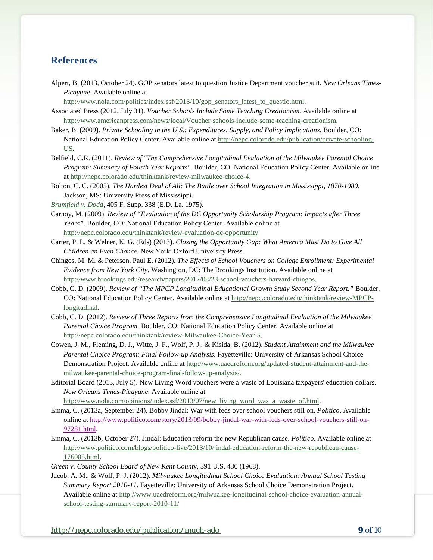#### **References**

Alpert, B. (2013, October 24). GOP senators latest to question Justice Department voucher suit. *New Orleans Times-Picayune*. Available online at

[http://www.nola.com/politics/index.ssf/2013/10/gop\\_senators\\_latest\\_to\\_questio.html.](http://www.nola.com/politics/index.ssf/2013/10/gop_senators_latest_to_questio.html)

- Associated Press (2012, July 31). *Voucher Schools Include Some Teaching Creationism*. Available online at [http://www.americanpress.com/news/local/Voucher-schools-include-some-teaching-creationism.](http://www.americanpress.com/news/local/Voucher-schools-include-some-teaching-creationism)
- Baker, B. (2009). *Private Schooling in the U.S.: Expenditures, Supply, and Policy Implications.* Boulder, CO: National Education Policy Center. Available online at [http://nepc.colorado.edu/publication/private-schooling-](http://nepc.colorado.edu/publication/private-schooling-US)[US.](http://nepc.colorado.edu/publication/private-schooling-US)
- Belfield, C.R. (2011). *Review of "The Comprehensive Longitudinal Evaluation of the Milwaukee Parental Choice Program: Summary of Fourth Year Reports"*. Boulder, CO: National Education Policy Center. Available online a[t http://nepc.colorado.edu/thinktank/review-milwaukee-choice-4.](http://nepc.colorado.edu/thinktank/review-milwaukee-choice-4)
- Bolton, C. C. (2005). *The Hardest Deal of All: The Battle over School Integration in Mississippi, 1870-1980*. Jackson, MS: University Press of Mississippi.
- *[Brumfield v. Dodd](http://www.leagle.com/decision/1975743405FSupp338_1691.xml/BRUMFIELD%20v.%20DODD)*, 405 F. Supp. 338 (E.D. La. 1975).
- Carnoy, M. (2009). *Review of "Evaluation of the DC Opportunity Scholarship Program: Impacts after Three Years"*. Boulder, CO: National Education Policy Center. Available online at <http://nepc.colorado.edu/thinktank/review-evaluation-dc-opportunity>
- Carter, P. L. & Welner, K. G. (Eds) (2013). *Closing the Opportunity Gap: What America Must Do to Give All Children an Even Chance*. New York: Oxford University Press.
- Chingos, M. M. & Peterson, Paul E. (2012). *The Effects of School Vouchers on College Enrollment: Experimental Evidence from New York City*. Washington, DC: The Brookings Institution. Available online at [http://www.brookings.edu/research/papers/2012/08/23-school-vouchers-harvard-chingos.](http://www.brookings.edu/research/papers/2012/08/23-school-vouchers-harvard-chingos)
- Cobb, C. D. (2009). *Review of "The MPCP Longitudinal Educational Growth Study Second Year Report."* Boulder, CO: National Education Policy Center. Available online at [http://nepc.colorado.edu/thinktank/review-MPCP](http://nepc.colorado.edu/thinktank/review-MPCP-longitudinal)[longitudinal.](http://nepc.colorado.edu/thinktank/review-MPCP-longitudinal)
- Cobb, C. D. (2012). *Review of Three Reports from the Comprehensive Longitudinal Evaluation of the Milwaukee Parental Choice Program.* Boulder, CO: National Education Policy Center. Available online at [http://nepc.colorado.edu/thinktank/review-Milwaukee-Choice-Year-5.](http://nepc.colorado.edu/thinktank/review-Milwaukee-Choice-Year-5)
- Cowen, J. M., Fleming, D. J., Witte, J. F., Wolf, P. J., & Kisida. B. (2012). *Student Attainment and the Milwaukee Parental Choice Program: Final Follow-up Analysis*. Fayetteville: University of Arkansas School Choice Demonstration Project. Available online at [http://www.uaedreform.org/updated-student-attainment-and-the](http://www.uaedreform.org/updated-student-attainment-and-the-milwaukee-parental-choice-program-final-follow-up-analysis/)[milwaukee-parental-choice-program-final-follow-up-analysis/.](http://www.uaedreform.org/updated-student-attainment-and-the-milwaukee-parental-choice-program-final-follow-up-analysis/)
- Editorial Board (2013, July 5). New Living Word vouchers were a waste of Louisiana taxpayers' education dollars. *New Orleans Times-Picayune*. Available online at

[http://www.nola.com/opinions/index.ssf/2013/07/new\\_living\\_word\\_was\\_a\\_waste\\_of.html.](http://www.nola.com/opinions/index.ssf/2013/07/new_living_word_was_a_waste_of.html)

- Emma, C. (2013a, September 24). Bobby Jindal: War with feds over school vouchers still on. *Politico*. Available online at [http://www.politico.com/story/2013/09/bobby-jindal-war-with-feds-over-school-vouchers-still-on-](http://www.politico.com/story/2013/09/bobby-jindal-war-with-feds-over-school-vouchers-still-on-97281.html)[97281.html.](http://www.politico.com/story/2013/09/bobby-jindal-war-with-feds-over-school-vouchers-still-on-97281.html)
- Emma, C. (2013b, October 27). Jindal: Education reform the new Republican cause. *Politico*. Available online at [http://www.politico.com/blogs/politico-live/2013/10/jindal-education-reform-the-new-republican-cause-](http://www.politico.com/blogs/politico-live/2013/10/jindal-education-reform-the-new-republican-cause-176005.html)[176005.html.](http://www.politico.com/blogs/politico-live/2013/10/jindal-education-reform-the-new-republican-cause-176005.html)

*Green v. County School Board of New Kent County*, 391 U.S. 430 (1968).

Jacob, A. M., & Wolf, P. J. (2012). *Milwaukee Longitudinal School Choice Evaluation: Annual School Testing Summary Report 2010-11*. Fayetteville: University of Arkansas School Choice Demonstration Project. Available online at [http://www.uaedreform.org/milwuakee-longitudinal-school-choice-evaluation-annual](http://www.uaedreform.org/milwuakee-longitudinal-school-choice-evaluation-annual-school-testing-summary-report-2010-11/)[school-testing-summary-report-2010-11/](http://www.uaedreform.org/milwuakee-longitudinal-school-choice-evaluation-annual-school-testing-summary-report-2010-11/)

<http://nepc.colorado.edu/publication/much-ado> **9** *of* 10